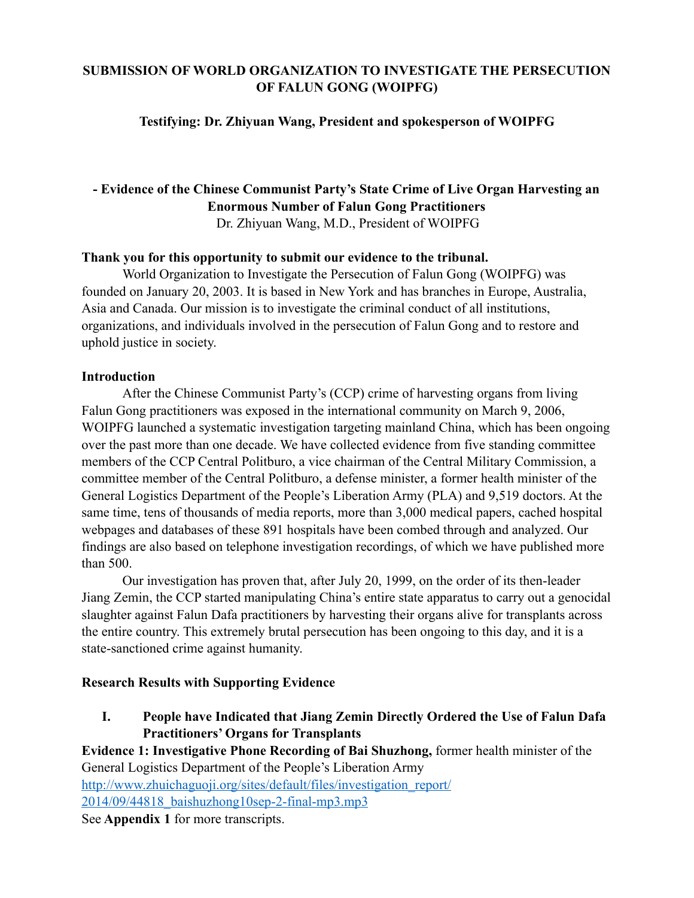# **SUBMISSION OF WORLD ORGANIZATION TO INVESTIGATE THE PERSECUTION OF FALUN GONG (WOIPFG)**

### **Testifying: Dr. Zhiyuan Wang, President and spokesperson of WOIPFG**

# **- Evidence of the Chinese Communist Party's State Crime of Live Organ Harvesting an Enormous Number of Falun Gong Practitioners**

Dr. Zhiyuan Wang, M.D., President of WOIPFG

#### **Thank you for this opportunity to submit our evidence to the tribunal.**

World Organization to Investigate the Persecution of Falun Gong (WOIPFG) was founded on January 20, 2003. It is based in New York and has branches in Europe, Australia, Asia and Canada. Our mission is to investigate the criminal conduct of all institutions, organizations, and individuals involved in the persecution of Falun Gong and to restore and uphold justice in society.

#### **Introduction**

After the Chinese Communist Party's (CCP) crime of harvesting organs from living Falun Gong practitioners was exposed in the international community on March 9, 2006, WOIPFG launched a systematic investigation targeting mainland China, which has been ongoing over the past more than one decade. We have collected evidence from five standing committee members of the CCP Central Politburo, a vice chairman of the Central Military Commission, a committee member of the Central Politburo, a defense minister, a former health minister of the General Logistics Department of the People's Liberation Army (PLA) and 9,519 doctors. At the same time, tens of thousands of media reports, more than 3,000 medical papers, cached hospital webpages and databases of these 891 hospitals have been combed through and analyzed. Our findings are also based on telephone investigation recordings, of which we have published more than 500.

Our investigation has proven that, after July 20, 1999, on the order of its then-leader Jiang Zemin, the CCP started manipulating China's entire state apparatus to carry out a genocidal slaughter against Falun Dafa practitioners by harvesting their organs alive for transplants across the entire country. This extremely brutal persecution has been ongoing to this day, and it is a state-sanctioned crime against humanity.

# **Research Results with Supporting Evidence**

**I. People have Indicated that Jiang Zemin Directly Ordered the Use of Falun Dafa Practitioners' Organs for Transplants** 

**Evidence 1: Investigative Phone Recording of Bai Shuzhong,** former health minister of the General Logistics Department of the People's Liberation Army [http://www.zhuichaguoji.org/sites/default/files/investigation\\_report/](http://www.zhuichaguoji.org/sites/default/files/investigation_report/2014/09/44818_baishuzhong10sep-2-final-mp3.mp3) [2014/09/44818\\_baishuzhong10sep-2-final-mp3.mp3](http://www.zhuichaguoji.org/sites/default/files/investigation_report/2014/09/44818_baishuzhong10sep-2-final-mp3.mp3) 

See **Appendix 1** for more transcripts.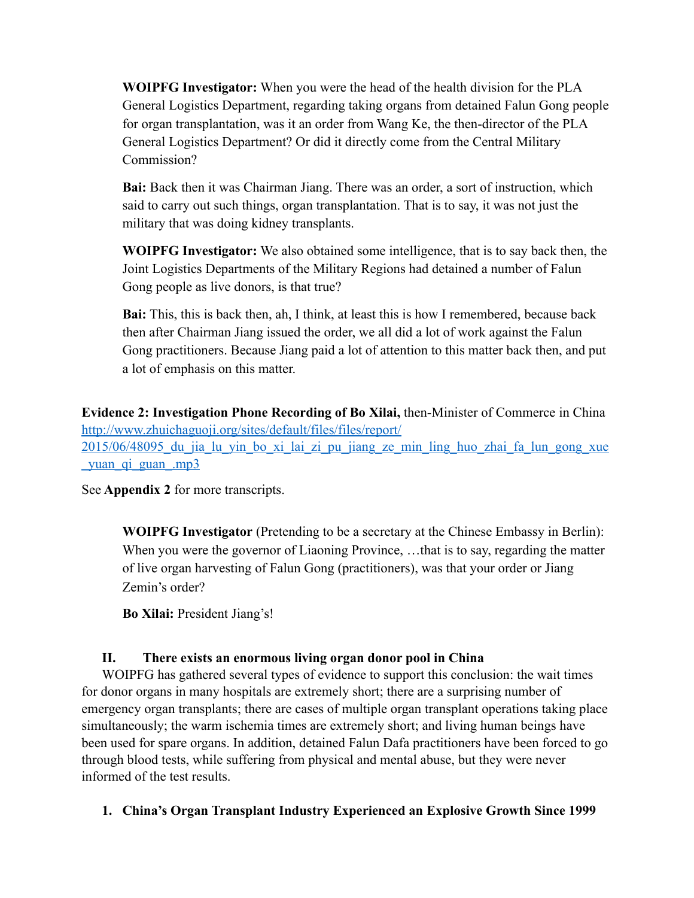**WOIPFG Investigator:** When you were the head of the health division for the PLA General Logistics Department, regarding taking organs from detained Falun Gong people for organ transplantation, was it an order from Wang Ke, the then-director of the PLA General Logistics Department? Or did it directly come from the Central Military Commission?

**Bai:** Back then it was Chairman Jiang. There was an order, a sort of instruction, which said to carry out such things, organ transplantation. That is to say, it was not just the military that was doing kidney transplants.

**WOIPFG Investigator:** We also obtained some intelligence, that is to say back then, the Joint Logistics Departments of the Military Regions had detained a number of Falun Gong people as live donors, is that true?

**Bai:** This, this is back then, ah, I think, at least this is how I remembered, because back then after Chairman Jiang issued the order, we all did a lot of work against the Falun Gong practitioners. Because Jiang paid a lot of attention to this matter back then, and put a lot of emphasis on this matter.

**Evidence 2: Investigation Phone Recording of Bo Xilai,** then-Minister of Commerce in China [http://www.zhuichaguoji.org/sites/default/files/files/report/](http://www.zhuichaguoji.org/sites/default/files/files/report/2015/06/48095_du_jia_lu_yin_bo_xi_lai_zi_pu_jiang_ze_min_ling_huo_zhai_fa_lun_gong_xue_yuan_qi_guan_.mp3) 2015/06/48095 du jia lu yin bo xi lai zi pu jiang ze min ling huo zhai fa lun gong xue [\\_yuan\\_qi\\_guan\\_.mp3](http://www.zhuichaguoji.org/sites/default/files/files/report/2015/06/48095_du_jia_lu_yin_bo_xi_lai_zi_pu_jiang_ze_min_ling_huo_zhai_fa_lun_gong_xue_yuan_qi_guan_.mp3)

See **Appendix 2** for more transcripts.

**WOIPFG Investigator** (Pretending to be a secretary at the Chinese Embassy in Berlin): When you were the governor of Liaoning Province, ... that is to say, regarding the matter of live organ harvesting of Falun Gong (practitioners), was that your order or Jiang Zemin's order?

**Bo Xilai:** President Jiang's!

#### **II. There exists an enormous living organ donor pool in China**

WOIPFG has gathered several types of evidence to support this conclusion: the wait times for donor organs in many hospitals are extremely short; there are a surprising number of emergency organ transplants; there are cases of multiple organ transplant operations taking place simultaneously; the warm ischemia times are extremely short; and living human beings have been used for spare organs. In addition, detained Falun Dafa practitioners have been forced to go through blood tests, while suffering from physical and mental abuse, but they were never informed of the test results.

#### **1. China's Organ Transplant Industry Experienced an Explosive Growth Since 1999**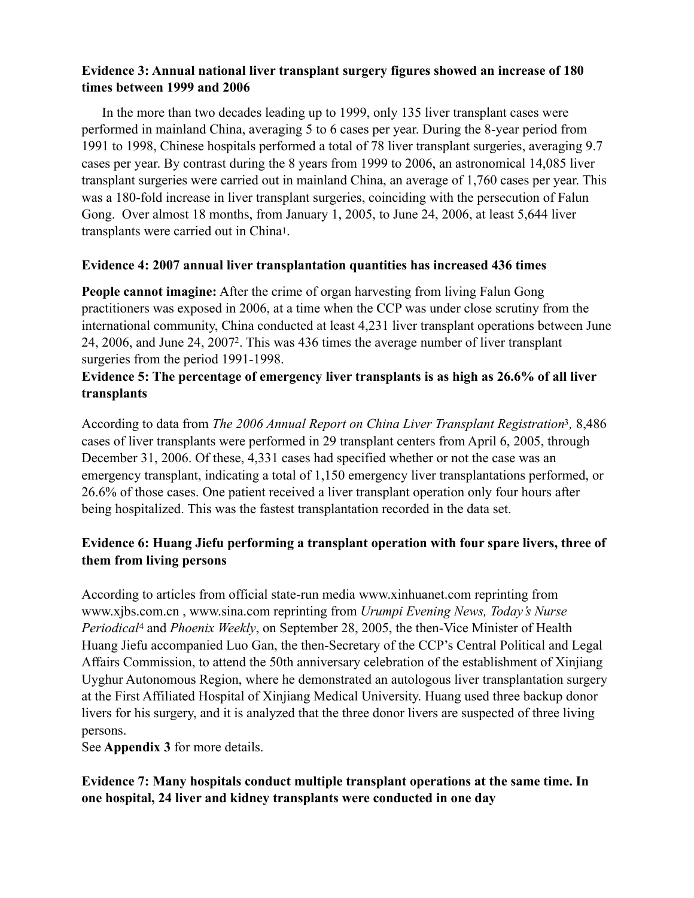### **Evidence 3: Annual national liver transplant surgery figures showed an increase of 180 times between 1999 and 2006**

In the more than two decades leading up to 1999, only 135 liver transplant cases were performed in mainland China, averaging 5 to 6 cases per year. During the 8-year period from 1991 to 1998, Chinese hospitals performed a total of 78 liver transplant surgeries, averaging 9.7 cases per year. By contrast during the 8 years from 1999 to 2006, an astronomical 14,085 liver transplant surgeries were carried out in mainland China, an average of 1,760 cases per year. This was a 180-fold increase in liver transplant surgeries, coinciding with the persecution of Falun Gong. Over almost 18 months, from January 1, 2005, to June 24, 2006, at least 5,644 liver transplants were carried out in China[1.](#page-13-0)

#### <span id="page-2-0"></span>**Evidence 4: 2007 annual liver transplantation quantities has increased 436 times**

**People cannot imagine:** After the crime of organ harvesting from living Falun Gong practitioners was exposed in 2006, at a time when the CCP was under close scrutiny from the international community, China conducted at least 4,231 liver transplant operations between June [2](#page-13-1)4, 2006, and June 24, 2007<sup>2</sup>. This was 436 times the average number of liver transplant surgeries from the period 1991-1998.

### <span id="page-2-1"></span>**Evidence 5: The percentage of emergency liver transplants is as high as 26.6% of all liver transplants**

<span id="page-2-2"></span>According to data from *The 2006 Annual Report on China Liver Transplant Registration*<sup>[3](#page-13-2)</sup>, 8,486 cases of liver transplants were performed in 29 transplant centers from April 6, 2005, through December 31, 2006. Of these, 4,331 cases had specified whether or not the case was an emergency transplant, indicating a total of 1,150 emergency liver transplantations performed, or 26.6% of those cases. One patient received a liver transplant operation only four hours after being hospitalized. This was the fastest transplantation recorded in the data set.

### **Evidence 6: Huang Jiefu performing a transplant operation with four spare livers, three of them from living persons**

<span id="page-2-3"></span>According to articles from official state-run media [www.xinhuanet.com](http://www.xinhuanet.com/) reprinting from www.xjbs.com.cn , [www.sina.com](http://www.sina.com./) reprinting from *Urumpi Evening News, Today's Nurse Periodical<sup>[4](#page-13-3)</sup>* and *Phoenix Weekly*, on September 28, 2005, the then-Vice Minister of Health Huang Jiefu accompanied Luo Gan, the then-Secretary of the CCP's Central Political and Legal Affairs Commission, to attend the 50th anniversary celebration of the establishment of Xinjiang Uyghur Autonomous Region, where he demonstrated an autologous liver transplantation surgery at the First Affiliated Hospital of Xinjiang Medical University. Huang used three backup donor livers for his surgery, and it is analyzed that the three donor livers are suspected of three living persons.

See **Appendix 3** for more details.

### **Evidence 7: Many hospitals conduct multiple transplant operations at the same time. In one hospital, 24 liver and kidney transplants were conducted in one day**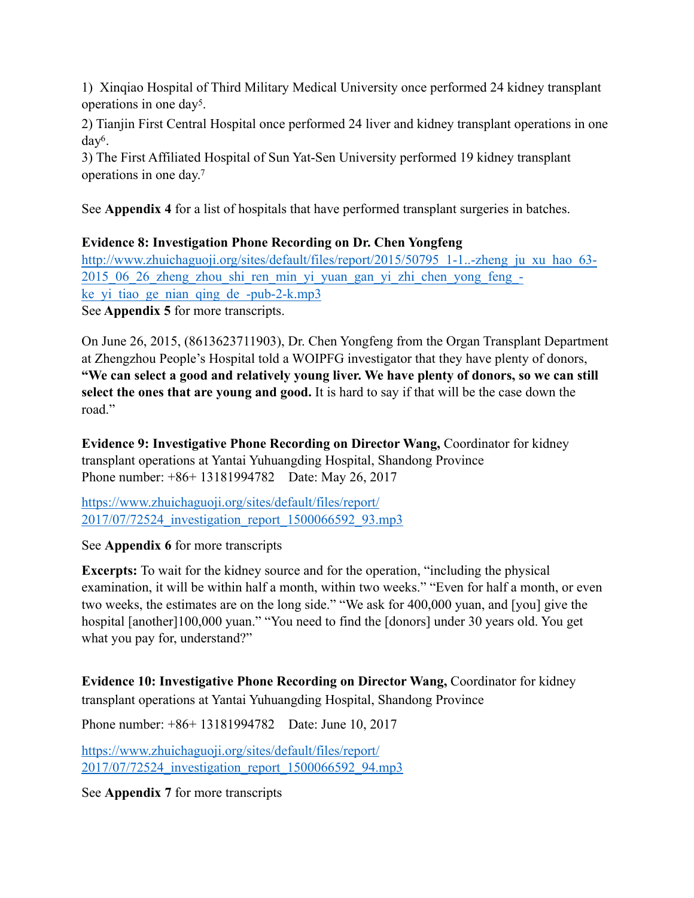<span id="page-3-0"></span>1) Xinqiao Hospital of Third Military Medical University once performed 24 kidney transplant operations in one day<sup>5</sup>[.](#page-13-4)

<span id="page-3-1"></span>2) Tianjin First Central Hospital once performed 24 liver and kidney transplant operations in one  $day<sup>6</sup>$  $day<sup>6</sup>$  $day<sup>6</sup>$ .

<span id="page-3-2"></span>3) The First Affiliated Hospital of Sun Yat-Sen University performed 19 kidney transplant operations in one day[.7](#page-13-6)

See **Appendix 4** for a list of hospitals that have performed transplant surgeries in batches.

**Evidence 8: Investigation Phone Recording on Dr. Chen Yongfeng** 

[http://www.zhuichaguoji.org/sites/default/files/report/2015/50795\\_1-1..-zheng\\_ju\\_xu\\_hao\\_63-](http://www.zhuichaguoji.org/sites/default/files/report/2015/50795_1-1..-zheng_ju_xu_hao_63-2015_06_26_zheng_zhou_shi_ren_min_yi_yuan_gan_yi_zhi_chen_yong_feng_-ke_yi_tiao_ge_nian_qing_de_-pub-2-k.mp3) [2015\\_06\\_26\\_zheng\\_zhou\\_shi\\_ren\\_min\\_yi\\_yuan\\_gan\\_yi\\_zhi\\_chen\\_yong\\_feng\\_](http://www.zhuichaguoji.org/sites/default/files/report/2015/50795_1-1..-zheng_ju_xu_hao_63-2015_06_26_zheng_zhou_shi_ren_min_yi_yuan_gan_yi_zhi_chen_yong_feng_-ke_yi_tiao_ge_nian_qing_de_-pub-2-k.mp3) ke yi tiao ge nian qing de -pub-2-k.mp3 See **Appendix 5** for more transcripts.

On June 26, 2015, (8613623711903), Dr. Chen Yongfeng from the Organ Transplant Department at Zhengzhou People's Hospital told a WOIPFG investigator that they have plenty of donors, **"We can select a good and relatively young liver. We have plenty of donors, so we can still select the ones that are young and good.** It is hard to say if that will be the case down the road."

**Evidence 9: Investigative Phone Recording on Director Wang,** Coordinator for kidney transplant operations at Yantai Yuhuangding Hospital, Shandong Province Phone number: +86+ 13181994782 Date: May 26, 2017

[https://www.zhuichaguoji.org/sites/default/files/report/](https://www.zhuichaguoji.org/sites/default/files/report/2017/07/72524_investigation_report_1500066592_93.mp3) [2017/07/72524\\_investigation\\_report\\_1500066592\\_93.mp3](https://www.zhuichaguoji.org/sites/default/files/report/2017/07/72524_investigation_report_1500066592_93.mp3) 

#### See **Appendix 6** for more transcripts

**Excerpts:** To wait for the kidney source and for the operation, "including the physical examination, it will be within half a month, within two weeks." "Even for half a month, or even two weeks, the estimates are on the long side." "We ask for 400,000 yuan, and [you] give the hospital [another]100,000 yuan." "You need to find the [donors] under 30 years old. You get what you pay for, understand?"

**Evidence 10: Investigative Phone Recording on Director Wang,** Coordinator for kidney transplant operations at Yantai Yuhuangding Hospital, Shandong Province

Phone number: +86+ 13181994782 Date: June 10, 2017

[https://www.zhuichaguoji.org/sites/default/files/report/](https://www.zhuichaguoji.org/sites/default/files/report/2017/07/72524_investigation_report_1500066592_94.mp3) [2017/07/72524\\_investigation\\_report\\_1500066592\\_94.mp3](https://www.zhuichaguoji.org/sites/default/files/report/2017/07/72524_investigation_report_1500066592_94.mp3) 

See **Appendix 7** for more transcripts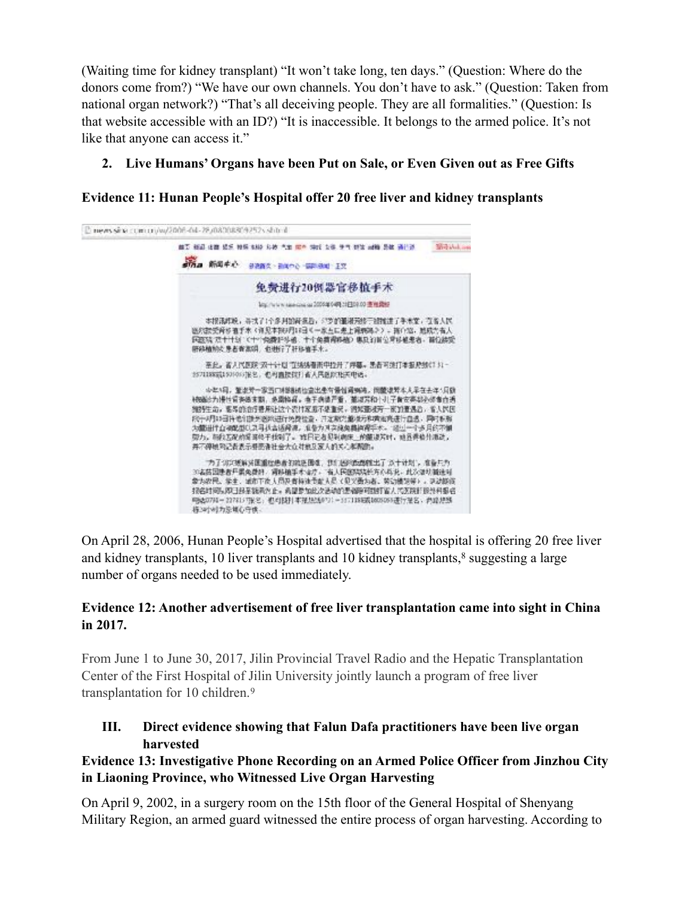(Waiting time for kidney transplant) "It won't take long, ten days." (Question: Where do the donors come from?) "We have our own channels. You don't have to ask." (Question: Taken from national organ network?) "That's all deceiving people. They are all formalities." (Question: Is that website accessible with an ID?) "It is inaccessible. It belongs to the armed police. It's not like that anyone can access it."

# **2. Live Humans' Organs have been Put on Sale, or Even Given out as Free Gifts**

# **Evidence 11: Hunan People's Hospital offer 20 free liver and kidney transplants**



<span id="page-4-0"></span>On April 28, 2006, Hunan People's Hospital advertised that the hospital is offering 20 free liver andkidney transplants, 10 liver transplants and 10 kidney transplants, $\frac{8}{3}$  $\frac{8}{3}$  $\frac{8}{3}$  suggesting a large number of organs needed to be used immediately.

# **Evidence 12: Another advertisement of free liver transplantation came into sight in China in 2017.**

From June 1 to June 30, 2017, Jilin Provincial Travel Radio and the Hepatic Transplantation Center of the First Hospital of Jilin University jointly launch a program of free liver transplantation for 10 children. [9](#page-13-8)

<span id="page-4-1"></span>**III. Direct evidence showing that Falun Dafa practitioners have been live organ harvested** 

# **Evidence 13: Investigative Phone Recording on an Armed Police Officer from Jinzhou City in Liaoning Province, who Witnessed Live Organ Harvesting**

On April 9, 2002, in a surgery room on the 15th floor of the General Hospital of Shenyang Military Region, an armed guard witnessed the entire process of organ harvesting. According to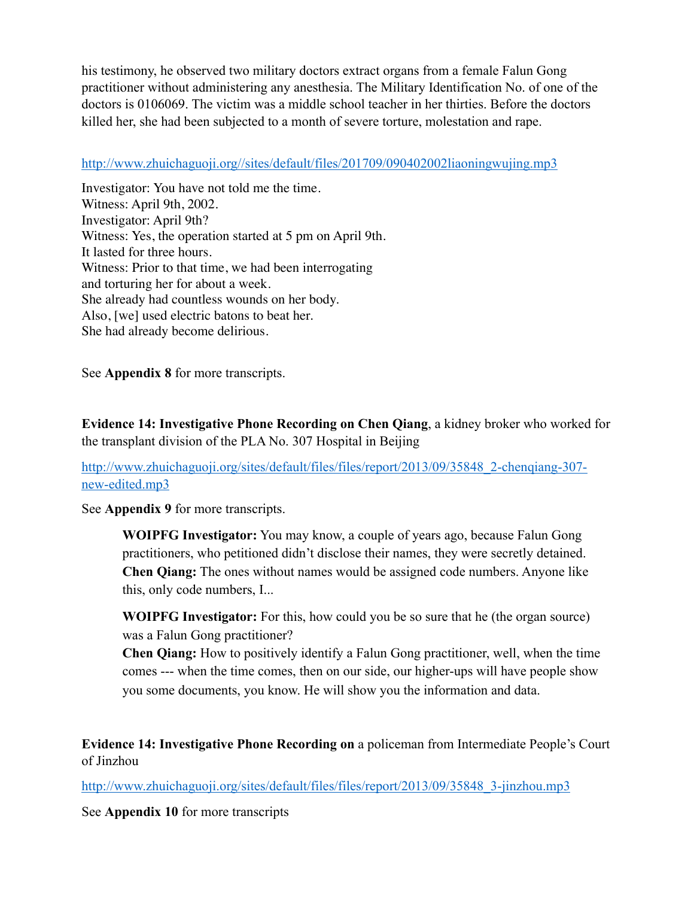his testimony, he observed two military doctors extract organs from a female Falun Gong practitioner without administering any anesthesia. The Military Identification No. of one of the doctors is 0106069. The victim was a middle school teacher in her thirties. Before the doctors killed her, she had been subjected to a month of severe torture, molestation and rape.

#### <http://www.zhuichaguoji.org//sites/default/files/201709/090402002liaoningwujing.mp3>

Investigator: You have not told me the time. Witness: April 9th, 2002. Investigator: April 9th? Witness: Yes, the operation started at 5 pm on April 9th. It lasted for three hours. Witness: Prior to that time, we had been interrogating and torturing her for about a week. She already had countless wounds on her body. Also, [we] used electric batons to beat her. She had already become delirious.

See **Appendix 8** for more transcripts.

**Evidence 14: Investigative Phone Recording on Chen Qiang**, a kidney broker who worked for the transplant division of the PLA No. 307 Hospital in Beijing

[http://www.zhuichaguoji.org/sites/default/files/files/report/2013/09/35848\\_2-chenqiang-307](http://www.zhuichaguoji.org/sites/default/files/files/report/2013/09/35848_2-chenqiang-307-new-edited.mp3) [new-edited.mp3](http://www.zhuichaguoji.org/sites/default/files/files/report/2013/09/35848_2-chenqiang-307-new-edited.mp3) 

See **Appendix 9** for more transcripts.

**WOIPFG Investigator:** You may know, a couple of years ago, because Falun Gong practitioners, who petitioned didn't disclose their names, they were secretly detained. **Chen Qiang:** The ones without names would be assigned code numbers. Anyone like this, only code numbers, I...

**WOIPFG Investigator:** For this, how could you be so sure that he (the organ source) was a Falun Gong practitioner?

**Chen Qiang:** How to positively identify a Falun Gong practitioner, well, when the time comes --- when the time comes, then on our side, our higher-ups will have people show you some documents, you know. He will show you the information and data.

**Evidence 14: Investigative Phone Recording on** a policeman from Intermediate People's Court of Jinzhou

[http://www.zhuichaguoji.org/sites/default/files/files/report/2013/09/35848\\_3-jinzhou.mp3](http://www.zhuichaguoji.org/sites/default/files/files/report/2013/09/35848_3-jinzhou.mp3)

See **Appendix 10** for more transcripts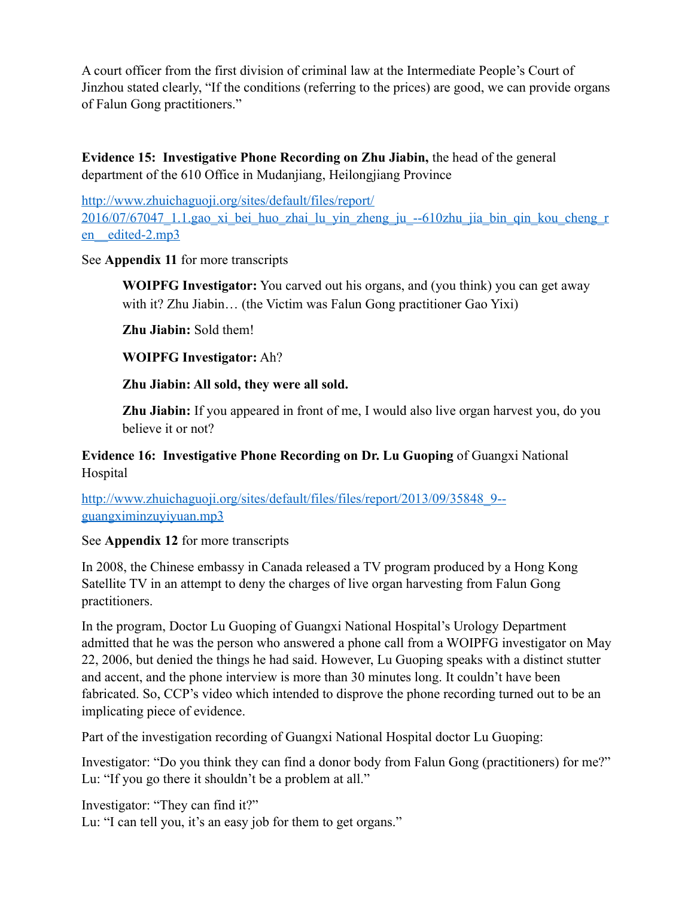A court officer from the first division of criminal law at the Intermediate People's Court of Jinzhou stated clearly, "If the conditions (referring to the prices) are good, we can provide organs of Falun Gong practitioners."

**Evidence 15: Investigative Phone Recording on Zhu Jiabin,** the head of the general department of the 610 Office in Mudanjiang, Heilongjiang Province

[http://www.zhuichaguoji.org/sites/default/files/report/](http://www.zhuichaguoji.org/sites/default/files/report/2016/07/67047_1.1.gao_xi_bei_huo_zhai_lu_yin_zheng_ju_--610zhu_jia_bin_qin_kou_cheng_ren__edited-2.mp3) [2016/07/67047\\_1.1.gao\\_xi\\_bei\\_huo\\_zhai\\_lu\\_yin\\_zheng\\_ju\\_--610zhu\\_jia\\_bin\\_qin\\_kou\\_cheng\\_r](http://www.zhuichaguoji.org/sites/default/files/report/2016/07/67047_1.1.gao_xi_bei_huo_zhai_lu_yin_zheng_ju_--610zhu_jia_bin_qin_kou_cheng_ren__edited-2.mp3) en edited-2.mp3

#### See **Appendix 11** for more transcripts

**WOIPFG Investigator:** You carved out his organs, and (you think) you can get away with it? Zhu Jiabin... (the Victim was Falun Gong practitioner Gao Yixi)

**Zhu Jiabin:** Sold them!

**WOIPFG Investigator:** Ah?

#### **Zhu Jiabin: All sold, they were all sold.**

**Zhu Jiabin:** If you appeared in front of me, I would also live organ harvest you, do you believe it or not?

### **Evidence 16: Investigative Phone Recording on Dr. Lu Guoping** of Guangxi National Hospital

[http://www.zhuichaguoji.org/sites/default/files/files/report/2013/09/35848\\_9-](http://www.zhuichaguoji.org/sites/default/files/files/report/2013/09/35848_9--guangximinzuyiyuan.mp3) [guangximinzuyiyuan.mp3](http://www.zhuichaguoji.org/sites/default/files/files/report/2013/09/35848_9--guangximinzuyiyuan.mp3) 

#### See **Appendix 12** for more transcripts

In 2008, the Chinese embassy in Canada released a TV program produced by a Hong Kong Satellite TV in an attempt to deny the charges of live organ harvesting from Falun Gong practitioners.

In the program, Doctor Lu Guoping of Guangxi National Hospital's Urology Department admitted that he was the person who answered a phone call from a WOIPFG investigator on May 22, 2006, but denied the things he had said. However, Lu Guoping speaks with a distinct stutter and accent, and the phone interview is more than 30 minutes long. It couldn't have been fabricated. So, CCP's video which intended to disprove the phone recording turned out to be an implicating piece of evidence.

Part of the investigation recording of Guangxi National Hospital doctor Lu Guoping:

Investigator: "Do you think they can find a donor body from Falun Gong (practitioners) for me?" Lu: "If you go there it shouldn't be a problem at all."

Investigator: "They can find it?" Lu: "I can tell you, it's an easy job for them to get organs."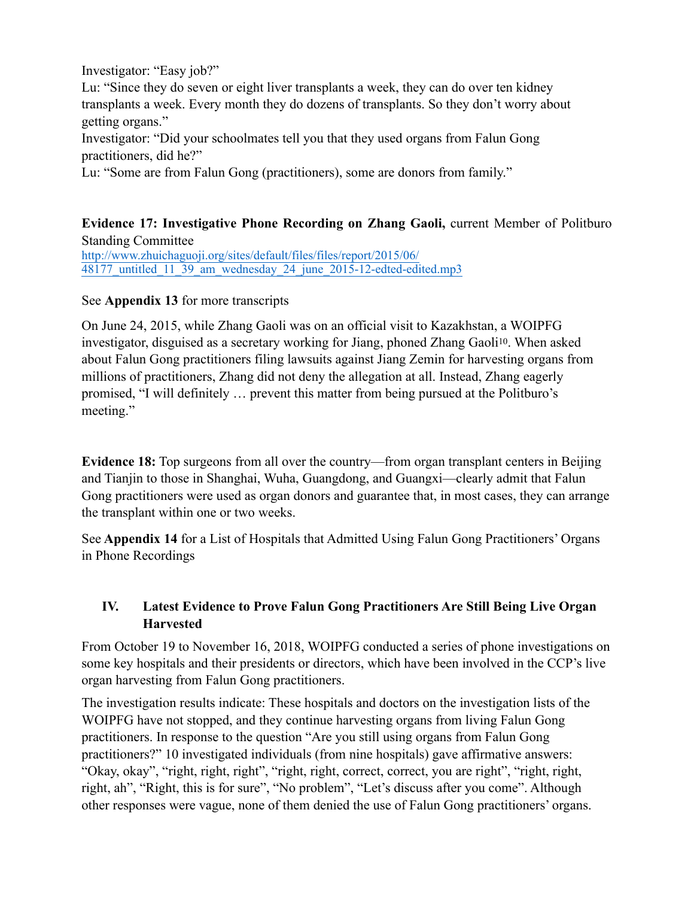Investigator: "Easy job?"

Lu: "Since they do seven or eight liver transplants a week, they can do over ten kidney transplants a week. Every month they do dozens of transplants. So they don't worry about getting organs."

Investigator: "Did your schoolmates tell you that they used organs from Falun Gong practitioners, did he?"

Lu: "Some are from Falun Gong (practitioners), some are donors from family."

# **Evidence 17: Investigative Phone Recording on Zhang Gaoli,** current Member of Politburo Standing Committee

[http://www.zhuichaguoji.org/sites/default/files/files/report/2015/06/](http://www.zhuichaguoji.org/sites/default/files/files/report/2015/06/48177_untitled_11_39_am_wednesday_24_june_2015-12-edted-edited.mp3) 48177 untitled 11 39 am wednesday 24 june 2015-12-edted-edited.mp3

### See **Appendix 13** for more transcripts

<span id="page-7-0"></span>On June 24, 2015, while Zhang Gaoli was on an official visit to Kazakhstan, a WOIPFG investigator, disguised as a secretary working for Jiang, phoned Zhang Gaol[i10](#page-13-9). When asked about Falun Gong practitioners filing lawsuits against Jiang Zemin for harvesting organs from millions of practitioners, Zhang did not deny the allegation at all. Instead, Zhang eagerly promised, "I will definitely … prevent this matter from being pursued at the Politburo's meeting."

**Evidence 18:** Top surgeons from all over the country—from organ transplant centers in Beijing and Tianjin to those in Shanghai, Wuha, Guangdong, and Guangxi—clearly admit that Falun Gong practitioners were used as organ donors and guarantee that, in most cases, they can arrange the transplant within one or two weeks.

See **Appendix 14** for a List of Hospitals that Admitted Using Falun Gong Practitioners' Organs in Phone Recordings

# **IV. Latest Evidence to Prove Falun Gong Practitioners Are Still Being Live Organ Harvested**

From October 19 to November 16, 2018, WOIPFG conducted a series of phone investigations on some key hospitals and their presidents or directors, which have been involved in the CCP's live organ harvesting from Falun Gong practitioners.

The investigation results indicate: These hospitals and doctors on the investigation lists of the WOIPFG have not stopped, and they continue harvesting organs from living Falun Gong practitioners. In response to the question "Are you still using organs from Falun Gong practitioners?" 10 investigated individuals (from nine hospitals) gave affirmative answers: "Okay, okay", "right, right, right", "right, right, correct, correct, you are right", "right, right, right, ah", "Right, this is for sure", "No problem", "Let's discuss after you come". Although other responses were vague, none of them denied the use of Falun Gong practitioners' organs.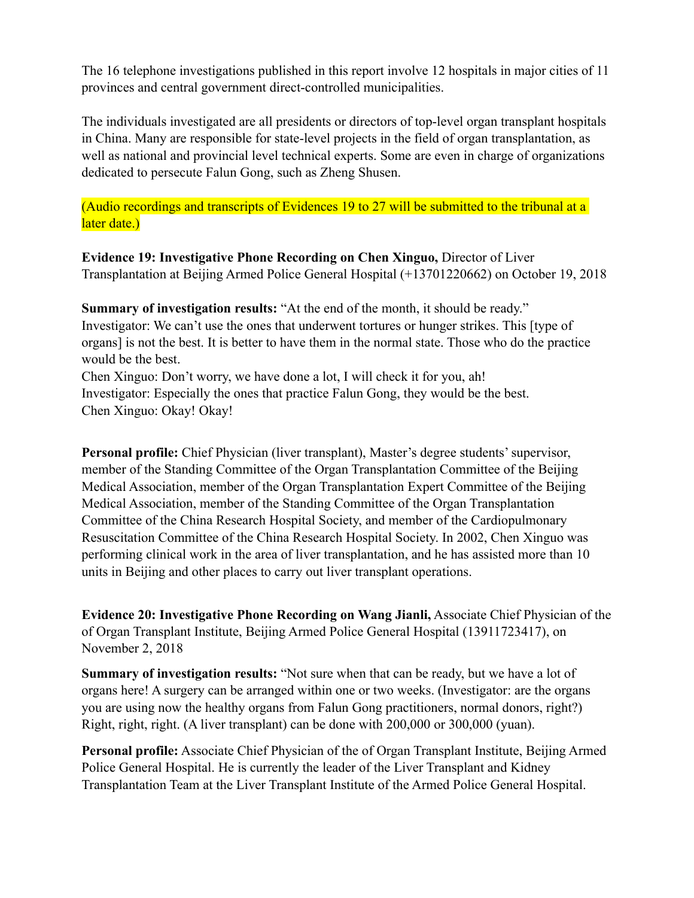The 16 telephone investigations published in this report involve 12 hospitals in major cities of 11 provinces and central government direct-controlled municipalities.

The individuals investigated are all presidents or directors of top-level organ transplant hospitals in China. Many are responsible for state-level projects in the field of organ transplantation, as well as national and provincial level technical experts. Some are even in charge of organizations dedicated to persecute Falun Gong, such as Zheng Shusen.

(Audio recordings and transcripts of Evidences 19 to 27 will be submitted to the tribunal at a later date.)

**Evidence 19: Investigative Phone Recording on Chen Xinguo,** Director of Liver Transplantation at Beijing Armed Police General Hospital (+13701220662) on October 19, 2018

**Summary of investigation results:** "At the end of the month, it should be ready." Investigator: We can't use the ones that underwent tortures or hunger strikes. This [type of organs] is not the best. It is better to have them in the normal state. Those who do the practice would be the best.

Chen Xinguo: Don't worry, we have done a lot, I will check it for you, ah! Investigator: Especially the ones that practice Falun Gong, they would be the best. Chen Xinguo: Okay! Okay!

**Personal profile:** Chief Physician (liver transplant), Master's degree students' supervisor, member of the Standing Committee of the Organ Transplantation Committee of the Beijing Medical Association, member of the Organ Transplantation Expert Committee of the Beijing Medical Association, member of the Standing Committee of the Organ Transplantation Committee of the China Research Hospital Society, and member of the Cardiopulmonary Resuscitation Committee of the China Research Hospital Society. In 2002, Chen Xinguo was performing clinical work in the area of liver transplantation, and he has assisted more than 10 units in Beijing and other places to carry out liver transplant operations.

**Evidence 20: Investigative Phone Recording on Wang Jianli,** Associate Chief Physician of the of Organ Transplant Institute, Beijing Armed Police General Hospital (13911723417), on November 2, 2018

**Summary of investigation results:** "Not sure when that can be ready, but we have a lot of organs here! A surgery can be arranged within one or two weeks. (Investigator: are the organs you are using now the healthy organs from Falun Gong practitioners, normal donors, right?) Right, right, right. (A liver transplant) can be done with 200,000 or 300,000 (yuan).

**Personal profile:** Associate Chief Physician of the of Organ Transplant Institute, Beijing Armed Police General Hospital. He is currently the leader of the Liver Transplant and Kidney Transplantation Team at the Liver Transplant Institute of the Armed Police General Hospital.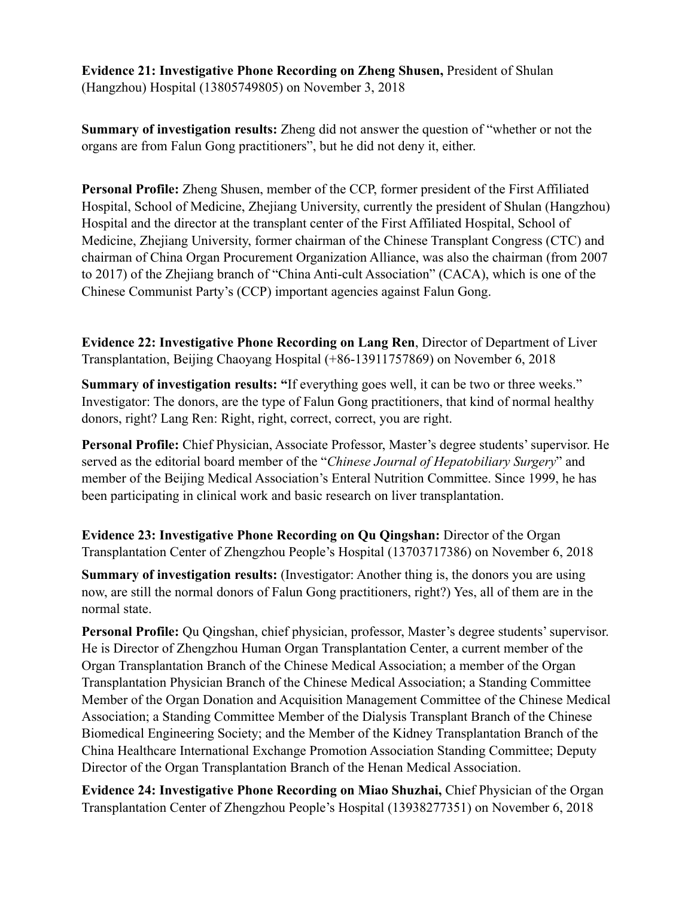**Evidence 21: Investigative Phone Recording on Zheng Shusen,** President of Shulan (Hangzhou) Hospital (13805749805) on November 3, 2018

**Summary of investigation results:** Zheng did not answer the question of "whether or not the organs are from Falun Gong practitioners", but he did not deny it, either.

**Personal Profile:** Zheng Shusen, member of the CCP, former president of the First Affiliated Hospital, School of Medicine, Zhejiang University, currently the president of Shulan (Hangzhou) Hospital and the director at the transplant center of the First Affiliated Hospital, School of Medicine, Zhejiang University, former chairman of the Chinese Transplant Congress (CTC) and chairman of China Organ Procurement Organization Alliance, was also the chairman (from 2007 to 2017) of the Zhejiang branch of "China Anti-cult Association" (CACA), which is one of the Chinese Communist Party's (CCP) important agencies against Falun Gong.

**Evidence 22: Investigative Phone Recording on Lang Ren**, Director of Department of Liver Transplantation, Beijing Chaoyang Hospital (+86-13911757869) on November 6, 2018

**Summary of investigation results: "**If everything goes well, it can be two or three weeks." Investigator: The donors, are the type of Falun Gong practitioners, that kind of normal healthy donors, right? Lang Ren: Right, right, correct, correct, you are right.

**Personal Profile:** Chief Physician, Associate Professor, Master's degree students' supervisor. He served as the editorial board member of the "*Chinese Journal of Hepatobiliary Surgery*" and member of the Beijing Medical Association's Enteral Nutrition Committee. Since 1999, he has been participating in clinical work and basic research on liver transplantation.

**Evidence 23: Investigative Phone Recording on Qu Qingshan:** Director of the Organ Transplantation Center of Zhengzhou People's Hospital (13703717386) on November 6, 2018

**Summary of investigation results:** (Investigator: Another thing is, the donors you are using now, are still the normal donors of Falun Gong practitioners, right?) Yes, all of them are in the normal state.

**Personal Profile:** Qu Qingshan, chief physician, professor, Master's degree students' supervisor. He is Director of Zhengzhou Human Organ Transplantation Center, a current member of the Organ Transplantation Branch of the Chinese Medical Association; a member of the Organ Transplantation Physician Branch of the Chinese Medical Association; a Standing Committee Member of the Organ Donation and Acquisition Management Committee of the Chinese Medical Association; a Standing Committee Member of the Dialysis Transplant Branch of the Chinese Biomedical Engineering Society; and the Member of the Kidney Transplantation Branch of the China Healthcare International Exchange Promotion Association Standing Committee; Deputy Director of the Organ Transplantation Branch of the Henan Medical Association.

**Evidence 24: Investigative Phone Recording on Miao Shuzhai,** Chief Physician of the Organ Transplantation Center of Zhengzhou People's Hospital (13938277351) on November 6, 2018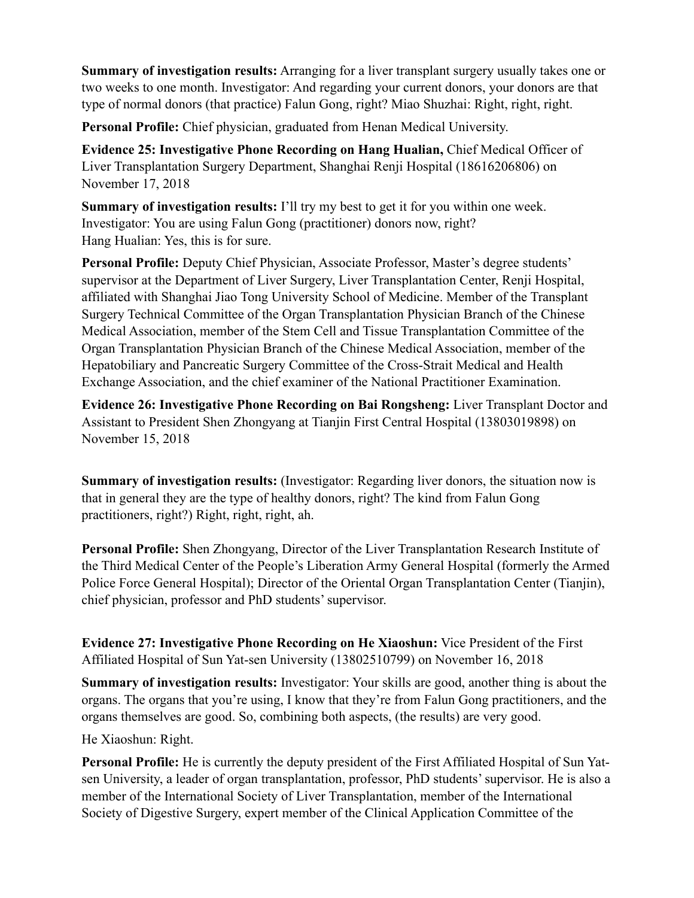**Summary of investigation results:** Arranging for a liver transplant surgery usually takes one or two weeks to one month. Investigator: And regarding your current donors, your donors are that type of normal donors (that practice) Falun Gong, right? Miao Shuzhai: Right, right, right.

**Personal Profile:** Chief physician, graduated from Henan Medical University.

**Evidence 25: Investigative Phone Recording on Hang Hualian,** Chief Medical Officer of Liver Transplantation Surgery Department, Shanghai Renji Hospital (18616206806) on November 17, 2018

**Summary of investigation results:** I'll try my best to get it for you within one week. Investigator: You are using Falun Gong (practitioner) donors now, right? Hang Hualian: Yes, this is for sure.

**Personal Profile:** Deputy Chief Physician, Associate Professor, Master's degree students' supervisor at the Department of Liver Surgery, Liver Transplantation Center, Renji Hospital, affiliated with Shanghai Jiao Tong University School of Medicine. Member of the Transplant Surgery Technical Committee of the Organ Transplantation Physician Branch of the Chinese Medical Association, member of the Stem Cell and Tissue Transplantation Committee of the Organ Transplantation Physician Branch of the Chinese Medical Association, member of the Hepatobiliary and Pancreatic Surgery Committee of the Cross-Strait Medical and Health Exchange Association, and the chief examiner of the National Practitioner Examination.

**Evidence 26: Investigative Phone Recording on Bai Rongsheng:** Liver Transplant Doctor and Assistant to President Shen Zhongyang at Tianjin First Central Hospital (13803019898) on November 15, 2018

**Summary of investigation results:** (Investigator: Regarding liver donors, the situation now is that in general they are the type of healthy donors, right? The kind from Falun Gong practitioners, right?) Right, right, right, ah.

**Personal Profile:** Shen Zhongyang, Director of the Liver Transplantation Research Institute of the Third Medical Center of the People's Liberation Army General Hospital (formerly the Armed Police Force General Hospital); Director of the Oriental Organ Transplantation Center (Tianjin), chief physician, professor and PhD students' supervisor.

**Evidence 27: Investigative Phone Recording on He Xiaoshun:** Vice President of the First Affiliated Hospital of Sun Yat-sen University (13802510799) on November 16, 2018

**Summary of investigation results:** Investigator: Your skills are good, another thing is about the organs. The organs that you're using, I know that they're from Falun Gong practitioners, and the organs themselves are good. So, combining both aspects, (the results) are very good.

He Xiaoshun: Right.

**Personal Profile:** He is currently the deputy president of the First Affiliated Hospital of Sun Yatsen University, a leader of organ transplantation, professor, PhD students' supervisor. He is also a member of the International Society of Liver Transplantation, member of the International Society of Digestive Surgery, expert member of the Clinical Application Committee of the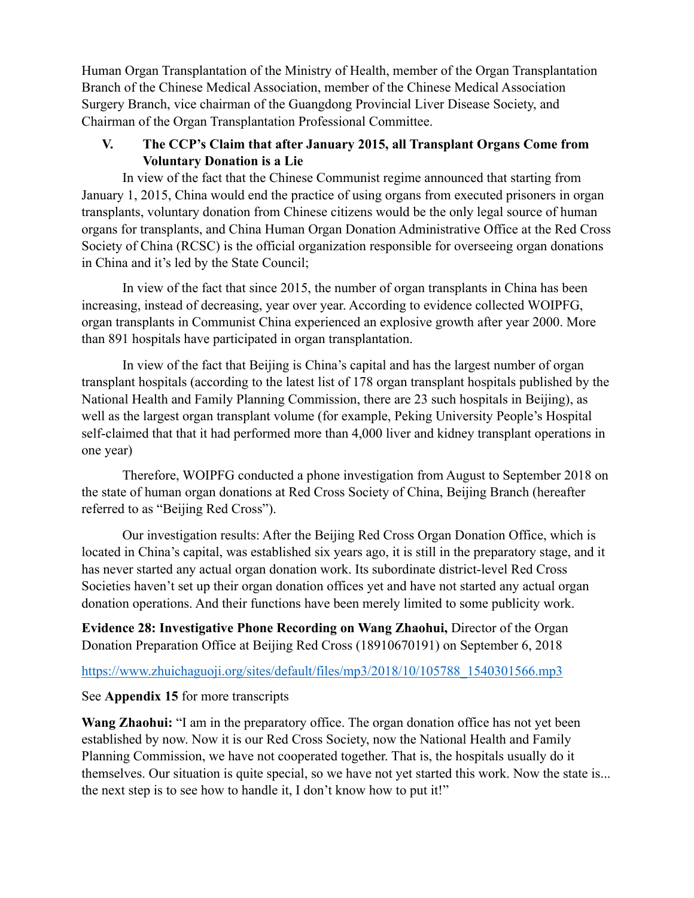Human Organ Transplantation of the Ministry of Health, member of the Organ Transplantation Branch of the Chinese Medical Association, member of the Chinese Medical Association Surgery Branch, vice chairman of the Guangdong Provincial Liver Disease Society, and Chairman of the Organ Transplantation Professional Committee.

### **V. The CCP's Claim that after January 2015, all Transplant Organs Come from Voluntary Donation is a Lie**

In view of the fact that the Chinese Communist regime announced that starting from January 1, 2015, China would end the practice of using organs from executed prisoners in organ transplants, voluntary donation from Chinese citizens would be the only legal source of human organs for transplants, and China Human Organ Donation Administrative Office at the Red Cross Society of China (RCSC) is the official organization responsible for overseeing organ donations in China and it's led by the State Council;

In view of the fact that since 2015, the number of organ transplants in China has been increasing, instead of decreasing, year over year. According to evidence collected WOIPFG, organ transplants in Communist China experienced an explosive growth after year 2000. More than 891 hospitals have participated in organ transplantation.

In view of the fact that Beijing is China's capital and has the largest number of organ transplant hospitals (according to the latest list of 178 organ transplant hospitals published by the National Health and Family Planning Commission, there are 23 such hospitals in Beijing), as well as the largest organ transplant volume (for example, Peking University People's Hospital self-claimed that that it had performed more than 4,000 liver and kidney transplant operations in one year)

Therefore, WOIPFG conducted a phone investigation from August to September 2018 on the state of human organ donations at Red Cross Society of China, Beijing Branch (hereafter referred to as "Beijing Red Cross").

Our investigation results: After the Beijing Red Cross Organ Donation Office, which is located in China's capital, was established six years ago, it is still in the preparatory stage, and it has never started any actual organ donation work. Its subordinate district-level Red Cross Societies haven't set up their organ donation offices yet and have not started any actual organ donation operations. And their functions have been merely limited to some publicity work.

**Evidence 28: Investigative Phone Recording on Wang Zhaohui,** Director of the Organ Donation Preparation Office at Beijing Red Cross (18910670191) on September 6, 2018

# https://www.zhuichaguoji.org/sites/default/files/mp3/2018/10/105788\_1540301566.mp3

#### See **Appendix 15** for more transcripts

**Wang Zhaohui:** "I am in the preparatory office. The organ donation office has not yet been established by now. Now it is our Red Cross Society, now the National Health and Family Planning Commission, we have not cooperated together. That is, the hospitals usually do it themselves. Our situation is quite special, so we have not yet started this work. Now the state is... the next step is to see how to handle it, I don't know how to put it!"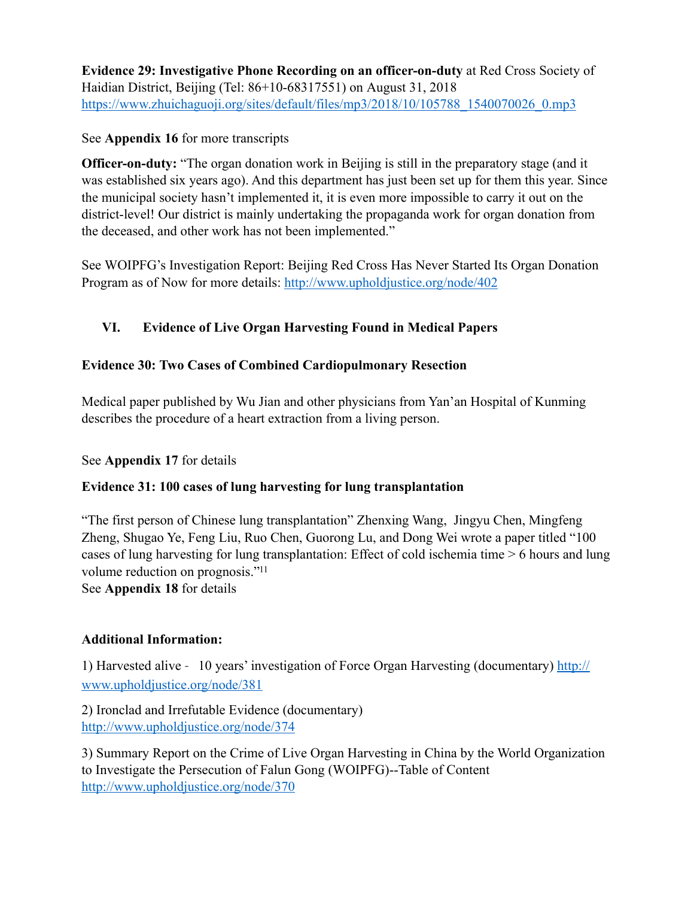**Evidence 29: Investigative Phone Recording on an officer-on-duty** at Red Cross Society of Haidian District, Beijing (Tel: 86+10-68317551) on August 31, 2018 https://www.zhuichaguoji.org/sites/default/files/mp3/2018/10/105788\_1540070026\_0.mp3

### See **Appendix 16** for more transcripts

**Officer-on-duty:** "The organ donation work in Beijing is still in the preparatory stage (and it was established six years ago). And this department has just been set up for them this year. Since the municipal society hasn't implemented it, it is even more impossible to carry it out on the district-level! Our district is mainly undertaking the propaganda work for organ donation from the deceased, and other work has not been implemented."

See WOIPFG's Investigation Report: Beijing Red Cross Has Never Started Its Organ Donation Program as of Now for more details: <http://www.upholdjustice.org/node/402>

# **VI. Evidence of Live Organ Harvesting Found in Medical Papers**

### **Evidence 30: Two Cases of Combined Cardiopulmonary Resection**

Medical paper published by Wu Jian and other physicians from Yan'an Hospital of Kunming describes the procedure of a heart extraction from a living person.

#### See **Appendix 17** for details

# **Evidence 31: 100 cases of lung harvesting for lung transplantation**

"The first person of Chinese lung transplantation" Zhenxing Wang, Jingyu Chen, Mingfeng Zheng, Shugao Ye, Feng Liu, Ruo Chen, Guorong Lu, and Dong Wei wrote a paper titled "100 cases of lung harvesting for lung transplantation: Effect of cold ischemia time > 6 hours and lung volume reduction on prognosis.["11](#page-13-10)

<span id="page-12-0"></span>See **Appendix 18** for details

# **Additional Information:**

1) Harvested alive -10 years' investigation of Force Organ Harvesting (documentary) [http://](http://www.upholdjustice.org/node/381) [www.upholdjustice.org/node/381](http://www.upholdjustice.org/node/381) 

2) Ironclad and Irrefutable Evidence (documentary) <http://www.upholdjustice.org/node/374>

3) Summary Report on the Crime of Live Organ Harvesting in China by the World Organization to Investigate the Persecution of Falun Gong (WOIPFG)--Table of Content <http://www.upholdjustice.org/node/370>